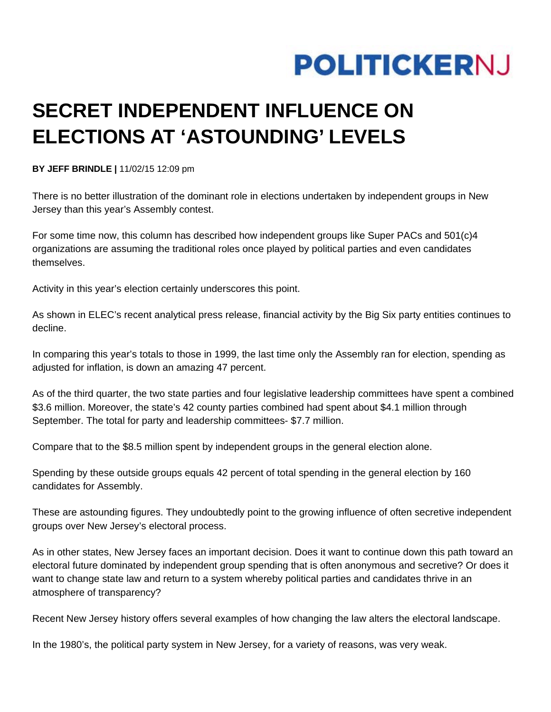

## **SECRET INDEPENDENT INFLUENCE ON ELECTIONS AT 'ASTOUNDING' LEVELS**

**BY JEFF BRINDLE |** 11/02/15 12:09 pm

There is no better illustration of the dominant role in elections undertaken by independent groups in New Jersey than this year's Assembly contest.

For some time now, this column has described how independent groups like Super PACs and 501(c)4 organizations are assuming the traditional roles once played by political parties and even candidates themselves.

Activity in this year's election certainly underscores this point.

As shown in ELEC's recent analytical press release, financial activity by the Big Six party entities continues to decline.

In comparing this year's totals to those in 1999, the last time only the Assembly ran for election, spending as adjusted for inflation, is down an amazing 47 percent.

As of the third quarter, the two state parties and four legislative leadership committees have spent a combined \$3.6 million. Moreover, the state's 42 county parties combined had spent about \$4.1 million through September. The total for party and leadership committees- \$7.7 million.

Compare that to the \$8.5 million spent by independent groups in the general election alone.

Spending by these outside groups equals 42 percent of total spending in the general election by 160 candidates for Assembly.

These are astounding figures. They undoubtedly point to the growing influence of often secretive independent groups over New Jersey's electoral process.

As in other states, New Jersey faces an important decision. Does it want to continue down this path toward an electoral future dominated by independent group spending that is often anonymous and secretive? Or does it want to change state law and return to a system whereby political parties and candidates thrive in an atmosphere of transparency?

Recent New Jersey history offers several examples of how changing the law alters the electoral landscape.

In the 1980's, the political party system in New Jersey, for a variety of reasons, was very weak.